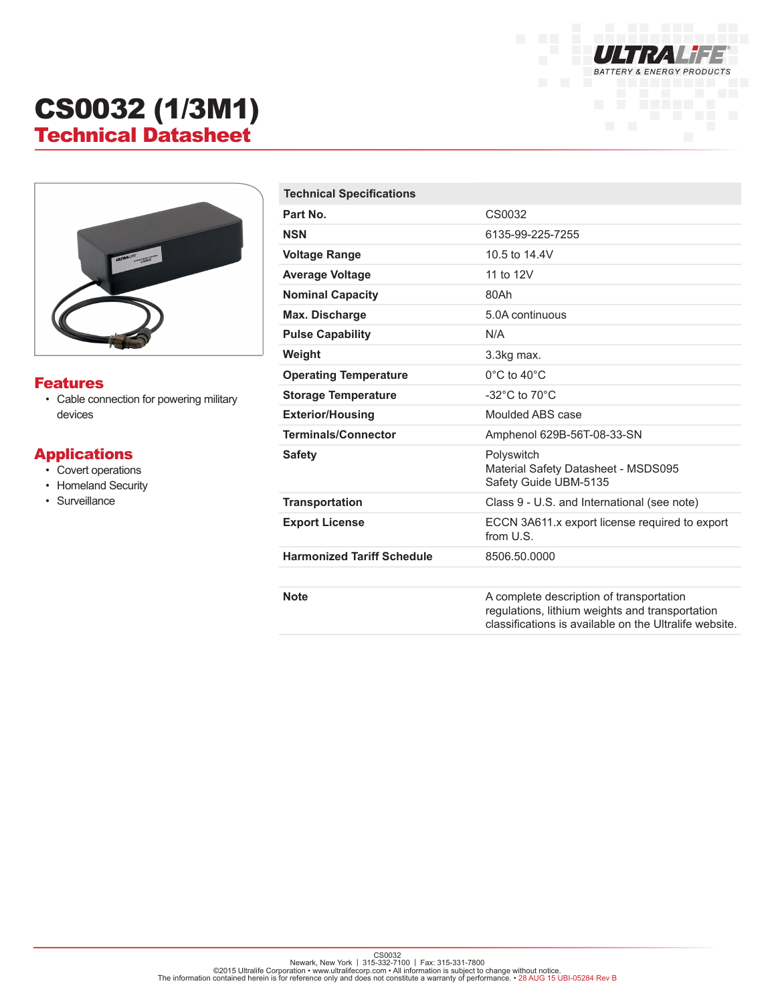

# CS0032 (1/3M1) Technical Datasheet



#### Features

• Cable connection for powering military devices

### Applications

- Covert operations
- Homeland Security
- Surveillance

| <b>Technical Specifications</b>   |                                                                                                                                                       |
|-----------------------------------|-------------------------------------------------------------------------------------------------------------------------------------------------------|
| Part No.                          | CS0032                                                                                                                                                |
| <b>NSN</b>                        | 6135-99-225-7255                                                                                                                                      |
| <b>Voltage Range</b>              | 10.5 to 14.4V                                                                                                                                         |
| <b>Average Voltage</b>            | 11 to 12V                                                                                                                                             |
| <b>Nominal Capacity</b>           | 80Ah                                                                                                                                                  |
| <b>Max. Discharge</b>             | 5.0A continuous                                                                                                                                       |
| <b>Pulse Capability</b>           | N/A                                                                                                                                                   |
| Weight                            | 3.3kg max.                                                                                                                                            |
| <b>Operating Temperature</b>      | $0^{\circ}$ C to 40 $^{\circ}$ C                                                                                                                      |
| <b>Storage Temperature</b>        | -32 $^{\circ}$ C to 70 $^{\circ}$ C                                                                                                                   |
| <b>Exterior/Housing</b>           | Moulded ABS case                                                                                                                                      |
| <b>Terminals/Connector</b>        | Amphenol 629B-56T-08-33-SN                                                                                                                            |
| <b>Safety</b>                     | Polyswitch<br>Material Safety Datasheet - MSDS095<br>Safety Guide UBM-5135                                                                            |
| <b>Transportation</b>             | Class 9 - U.S. and International (see note)                                                                                                           |
| <b>Export License</b>             | ECCN 3A611.x export license required to export<br>from U.S.                                                                                           |
| <b>Harmonized Tariff Schedule</b> | 8506.50.0000                                                                                                                                          |
|                                   |                                                                                                                                                       |
| <b>Note</b>                       | A complete description of transportation<br>regulations, lithium weights and transportation<br>classifications is available on the Ultralife website. |